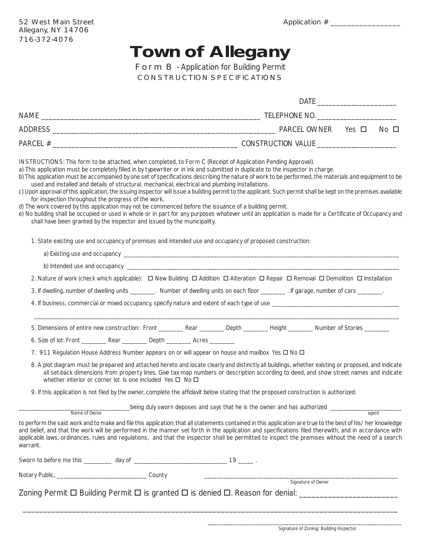## **Town of Allegany**

Form B - Application for Building Permit CONSTRUCTION SPECIFICATIONS

|                                                                                                                                                                                                                                                                                                                                                                                                                                                                                                                                                                                                         | $No$ $\square$                                                                                                                                                                                                                                                                                                                                                                                                                                                                    |
|---------------------------------------------------------------------------------------------------------------------------------------------------------------------------------------------------------------------------------------------------------------------------------------------------------------------------------------------------------------------------------------------------------------------------------------------------------------------------------------------------------------------------------------------------------------------------------------------------------|-----------------------------------------------------------------------------------------------------------------------------------------------------------------------------------------------------------------------------------------------------------------------------------------------------------------------------------------------------------------------------------------------------------------------------------------------------------------------------------|
|                                                                                                                                                                                                                                                                                                                                                                                                                                                                                                                                                                                                         |                                                                                                                                                                                                                                                                                                                                                                                                                                                                                   |
| <b>INSTRUCTIONS:</b> This form to be attached, when completed, to Form C (Receipt of Application Pending Approval).<br>a) This application must be completely filled in by typewriter or in ink and submitted in duplicate to the inspector in charge.<br>used and installed and details of structural, mechanical, electrical and plumbing installations.<br>for inspection throughout the progress of the work.<br>d) The work covered by this application may not be commenced before the issuance of a building permit.<br>shall have been granted by the inspector and issued by the municipality. | b) This application must be accompanied by one set of specifications describing the nature of work to be performed, the materials and equipment to be<br>c) Upon approval of this application, the issuing inspector will issue a building permit to the applicant. Such permit shall be kept on the premises available<br>e) No building shall be occupied or used in whole or in part for any purposes whatever until an application is made for a Certificate of Occupancy and |
| 1. State existing use and occupancy of premises and intended use and occupancy of proposed construction:                                                                                                                                                                                                                                                                                                                                                                                                                                                                                                |                                                                                                                                                                                                                                                                                                                                                                                                                                                                                   |
|                                                                                                                                                                                                                                                                                                                                                                                                                                                                                                                                                                                                         |                                                                                                                                                                                                                                                                                                                                                                                                                                                                                   |
|                                                                                                                                                                                                                                                                                                                                                                                                                                                                                                                                                                                                         |                                                                                                                                                                                                                                                                                                                                                                                                                                                                                   |
|                                                                                                                                                                                                                                                                                                                                                                                                                                                                                                                                                                                                         | 2. Nature of work (check which applicable): $\Box$ New Building $\Box$ Addition $\Box$ Alteration $\Box$ Repair $\Box$ Removal $\Box$ Demolition $\Box$ Installation                                                                                                                                                                                                                                                                                                              |
|                                                                                                                                                                                                                                                                                                                                                                                                                                                                                                                                                                                                         | 3. If dwelling, number of dwelling units ________. Number of dwelling units on each floor _______. If garage, number of cars _______.                                                                                                                                                                                                                                                                                                                                             |
|                                                                                                                                                                                                                                                                                                                                                                                                                                                                                                                                                                                                         |                                                                                                                                                                                                                                                                                                                                                                                                                                                                                   |
|                                                                                                                                                                                                                                                                                                                                                                                                                                                                                                                                                                                                         | 5. Dimensions of entire new construction: Front ___________ Rear __________ Depth _________ Height ________ Number of Stories ________                                                                                                                                                                                                                                                                                                                                            |
| 6. Size of lot: Front __________ Rear __________ Depth _________ Acres ________                                                                                                                                                                                                                                                                                                                                                                                                                                                                                                                         |                                                                                                                                                                                                                                                                                                                                                                                                                                                                                   |
| 7. 911 Regulation House Address Number appears on or will appear on house and mailbox Yes $\Box$ No $\Box$                                                                                                                                                                                                                                                                                                                                                                                                                                                                                              |                                                                                                                                                                                                                                                                                                                                                                                                                                                                                   |
| whether interior or corner lot. Is one included Yes $\Box$ No $\Box$                                                                                                                                                                                                                                                                                                                                                                                                                                                                                                                                    | 8. A plot diagram must be prepared and attached hereto and locate clearly and distinctly all buildings, whether existing or proposed, and indicate<br>all set-back dimensions from property lines. Give tax map numbers or description according to deed, and show street names and indicate                                                                                                                                                                                      |
|                                                                                                                                                                                                                                                                                                                                                                                                                                                                                                                                                                                                         | 9. If this application is not filed by the owner, complete the affidavit below stating that the proposed construction is authorized.                                                                                                                                                                                                                                                                                                                                              |
| Name of Owner                                                                                                                                                                                                                                                                                                                                                                                                                                                                                                                                                                                           | being duly sworn deposes and says that he is the owner and has authorized ________<br>agent                                                                                                                                                                                                                                                                                                                                                                                       |
| warrant.                                                                                                                                                                                                                                                                                                                                                                                                                                                                                                                                                                                                | to perform the said work and to make and file this application; that all statements contained in this application are true to the best of his/her knowledge<br>and belief, and that the work will be performed in the manner set forth in the application and specifications filed therewith, and in accordance with<br>applicable laws, ordinances, rules and regulations, and that the inspector shall be permitted to inspect the premises without the need of a search        |
|                                                                                                                                                                                                                                                                                                                                                                                                                                                                                                                                                                                                         |                                                                                                                                                                                                                                                                                                                                                                                                                                                                                   |
|                                                                                                                                                                                                                                                                                                                                                                                                                                                                                                                                                                                                         |                                                                                                                                                                                                                                                                                                                                                                                                                                                                                   |
|                                                                                                                                                                                                                                                                                                                                                                                                                                                                                                                                                                                                         |                                                                                                                                                                                                                                                                                                                                                                                                                                                                                   |

\_\_\_\_\_\_\_\_\_\_\_\_\_\_\_\_\_\_\_\_\_\_\_\_\_\_\_\_\_\_\_\_\_\_\_\_\_\_\_\_\_\_\_\_\_\_\_\_\_\_\_\_\_\_\_\_\_\_\_\_\_\_\_\_\_\_\_\_\_\_\_\_\_\_\_\_\_\_\_\_\_\_\_\_\_\_\_\_\_\_\_

Signature of Zoning/Building Inspector